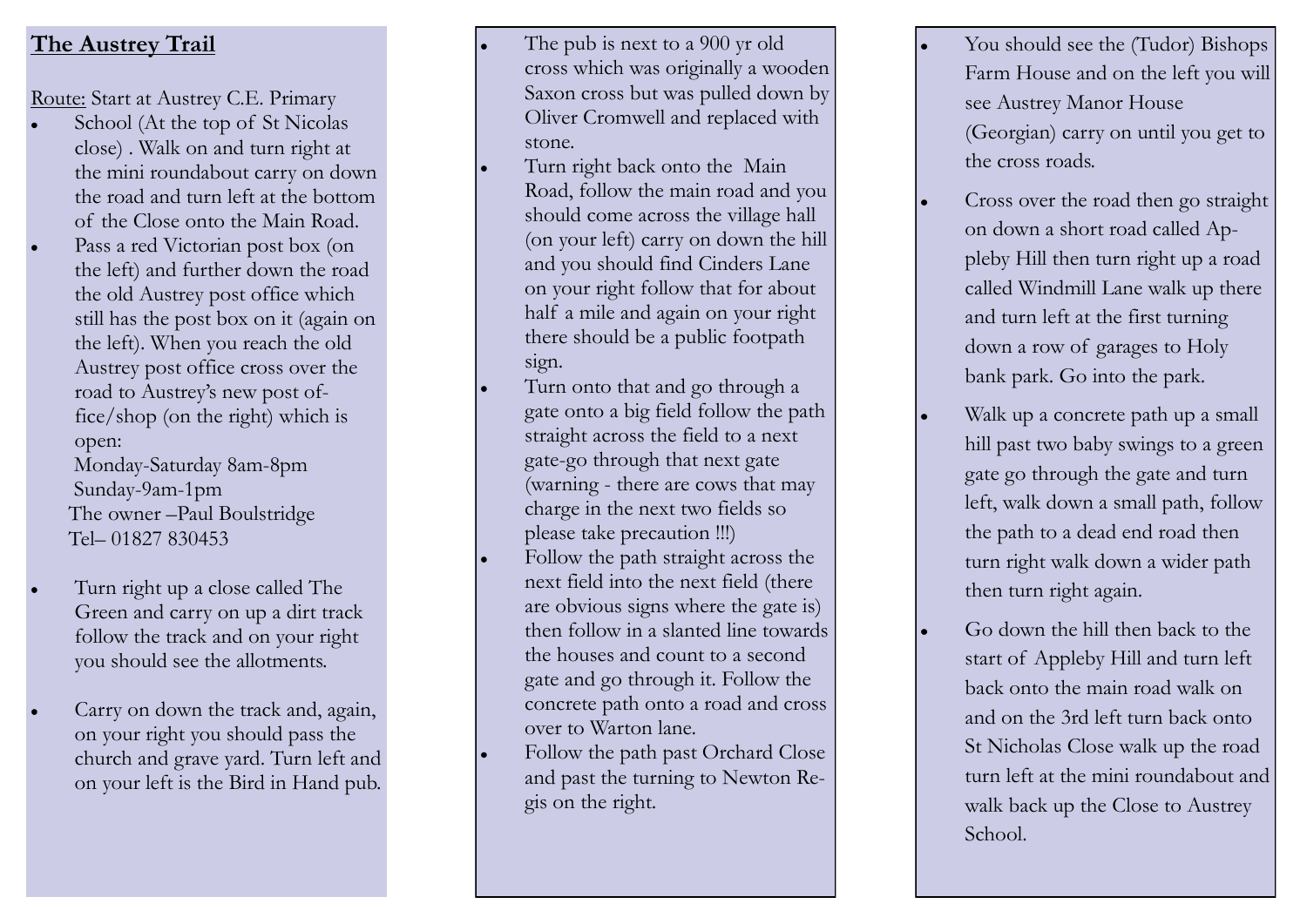## **The Austrey Trail**

Route: Start at Austrey C.E. Primary

- School (At the top of St Nicolas close) . Walk on and turn right at the mini roundabout carry on down the road and turn left at the bottom of the Close onto the Main Road.
- Pass a red Victorian post box (on the left) and further down the road the old Austrey post office which still has the post box on it (again on the left). When you reach the old Austrey post office cross over the road to Austrey's new post office/shop (on the right) which is open:

 Monday -Saturday 8am -8pm Sunday -9am -1pm The owner –Paul Boulstridge Tel – 01827 830453

- Turn right up a close called The Green and carry on up a dirt track follow the track and on your right you should see the allotments.
- Carry on down the track and, again, on your right you should pass the church and grave yard. Turn left and on your left is the Bird in Hand pub.
- The pub is next to a 900 yr old cross which was originally a wooden Saxon cross but was pulled down by Oliver Cromwell and replaced with stone.
- Turn right back onto the Main Road, follow the main road and you should come across the village hall (on your left) carry on down the hill and you should find Cinders Lane on your right follow that for about half a mile and again on your right there should be a public footpath sign.
- Turn onto that and go through a gate onto a big field follow the path straight across the field to a next gate -go through that next gate (warning - there are cows that may charge in the next two fields so please take precaution !!!)
- Follow the path straight across the next field into the next field (there are obvious signs where the gate is) then follow in a slanted line towards the houses and count to a second gate and go through it. Follow the concrete path onto a road and cross over to Warton lane.
- Follow the path past Orchard Close and past the turning to Newton Regis on the right.
- You should see the (Tudor) Bishops Farm House and on the left you will see Austrey Manor House (Georgian) carry on until you get to the cross roads.
- Cross over the road then go straight on down a short road called Appleby Hill then turn right up a road called Windmill Lane walk up there and turn left at the first turning down a row of garages to Holy bank park. Go into the park.
- Walk up a concrete path up a small hill past two baby swings to a green gate go through the gate and turn left, walk down a small path, follow the path to a dead end road then turn right walk down a wider path then turn right again.
- Go down the hill then back to the start of Appleby Hill and turn left back onto the main road walk on and on the 3rd left turn back onto St Nicholas Close walk up the road turn left at the mini roundabout and walk back up the Close to Austrey School.